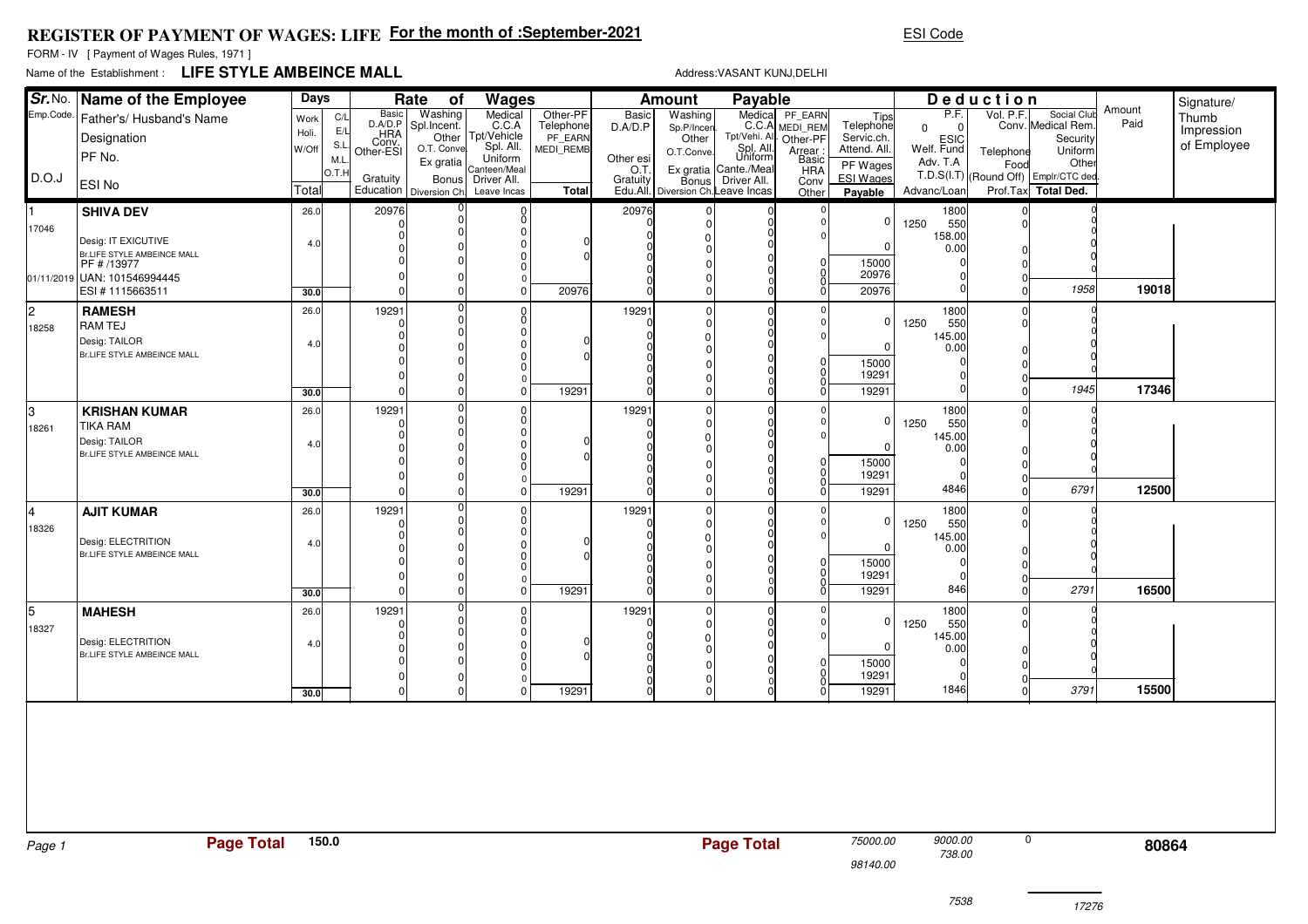## **REGISTER OF PAYMENT OF WAGES: LIFEFor the month of :September-2021**

FORM - IV [ Payment of Wages Rules, 1971 ]

## Name of the Establishment :**LIFE STYLE AMBEINCE MALL**

Address:VASANT KUNJ,DELHI

ESI Code

| Sr. No.   | Name of the Employee<br>Days<br>Rate<br>of        |              |             | Wages<br><b>Amount</b>    |                        |                                               |                       | Payable         |                                    |                                      |                                  | Deduction                   |                       |           | Signature/                                                  |        |             |
|-----------|---------------------------------------------------|--------------|-------------|---------------------------|------------------------|-----------------------------------------------|-----------------------|-----------------|------------------------------------|--------------------------------------|----------------------------------|-----------------------------|-----------------------|-----------|-------------------------------------------------------------|--------|-------------|
| Emp.Code. | Father's/ Husband's Name                          | Work         | C/L         | Basic                     | Washing                | Medical<br>C.C.A                              | Other-PF<br>Telephone | Basic           | Washing                            | Medical                              | Medica PF_EARN<br>C.C.A MEDI_REM | Tips                        | P.F.                  | Vol. P.F. | Social Club                                                 | Amount | Thumb       |
|           | Designation                                       | Holi.        | E/L         | D.A/D.P                   | Spl.Incent.            | Other Tpt/Vehicle                             | PF EARN               | D.A/D.P         | Sp.P/Incer<br>Other                | Tpt/Vehi. All                        | Other-PF                         | Telephone<br>Servic.ch.     | $\mathbf 0$           |           | Conv. Medical Rem.<br>Security                              | Paid   | Impression  |
|           | PF No.                                            | W/Off        | S.L         | HRA<br>Conv.<br>Other-ESI | O.T. Conve             | Spl. All.                                     | <b>MEDI REMB</b>      |                 | O.T.Conve                          | Spl. All.<br>Uniform                 | Arrear:<br>Basic                 | Attend. All.                | ESIC<br>Welf. Fund    | Telephone | Uniform                                                     |        | of Employee |
|           |                                                   |              | M.L<br>O.T. |                           | Ex gratia              | Uniform<br>Canteen/Meal<br>Driver All.        |                       | Other esi       | Ex gratia                          | Cante./Meal                          | <b>HRA</b>                       | PF Wages                    | Adv. T.A              | Food      | Other                                                       |        |             |
| D.O.J     | <b>ESI No</b>                                     | Total        |             | Gratuity<br>Education     | Bonus<br>Diversion Ch. | Leave Incas                                   | Total                 | .C.<br>Gratuity | Edu.All. Diversion Ch. Leave Incas | Bonus Driver All.                    | Conv<br>Other                    | <b>ESI Wages</b><br>Payable | Advanc/Loan           |           | T.D.S(I.T) (Round Off) Emplr/CTC dec<br>Prof.Tax Total Ded. |        |             |
|           | <b>SHIVA DEV</b>                                  | 26.0         |             | 20976                     |                        |                                               |                       | 20976           |                                    |                                      |                                  |                             | 1800                  |           |                                                             |        |             |
| 17046     |                                                   |              |             |                           |                        | $_{0}^{0}$<br>$\Omega$                        |                       |                 |                                    | 0                                    |                                  | 0                           | 1250<br>550           |           |                                                             |        |             |
|           | Desig: IT EXICUTIVE                               | 4.0          |             |                           |                        | $\Omega$                                      |                       |                 |                                    |                                      |                                  | $\Omega$                    | 158.00<br>0.00        |           |                                                             |        |             |
|           | Br.LIFE STYLE AMBEINCE MALL<br>PF # /13977        |              |             |                           |                        | 0<br>$\Omega$                                 |                       |                 |                                    |                                      |                                  | 15000                       |                       |           |                                                             |        |             |
|           | 01/11/2019 UAN: 101546994445                      |              |             | $\Omega$                  |                        | $\Omega$                                      |                       |                 |                                    |                                      |                                  | 20976                       |                       |           |                                                             |        |             |
|           | ESI #1115663511                                   | 30.0         |             | $\Omega$                  |                        | $\Omega$                                      | 20976                 |                 |                                    |                                      |                                  | 20976                       |                       |           | 1958                                                        | 19018  |             |
| l2        | <b>RAMESH</b>                                     | 26.0         |             | 19291                     |                        | $\begin{bmatrix} 0 \\ 0 \end{bmatrix}$        |                       | 19291           |                                    | $\mathbf 0$                          |                                  |                             | 1800                  |           |                                                             |        |             |
| 18258     | <b>RAM TEJ</b>                                    |              |             |                           |                        | $\overline{0}$                                |                       |                 |                                    |                                      |                                  | 0                           | 1250<br>550<br>145.00 |           |                                                             |        |             |
|           | Desig: TAILOR<br>Br.LIFE STYLE AMBEINCE MALL      | 4.0          |             |                           |                        | $\Omega$<br>0                                 |                       |                 |                                    |                                      |                                  | <sup>0</sup>                | 0.00                  |           |                                                             |        |             |
|           |                                                   |              |             |                           |                        | $\Omega$                                      |                       |                 |                                    |                                      |                                  | 15000<br>19291              |                       |           |                                                             |        |             |
|           |                                                   | 30.0         |             |                           |                        | $\Omega$<br>$\Omega$                          | 19291                 |                 |                                    |                                      |                                  | 19291                       |                       |           | 1945                                                        | 17346  |             |
| I٩        | <b>KRISHAN KUMAR</b>                              | 26.0         |             | 19291                     |                        |                                               |                       | 19291           |                                    | $\pmb{0}$                            |                                  |                             | 1800                  |           |                                                             |        |             |
| 18261     | <b>TIKA RAM</b>                                   |              |             |                           |                        | $\begin{smallmatrix} 0 \ 0 \end{smallmatrix}$ |                       |                 |                                    | $\begin{matrix} 0 \\ 0 \end{matrix}$ |                                  | 0                           | 1250<br>550           |           |                                                             |        |             |
|           | Desig: TAILOR                                     | 4.0          |             |                           |                        | $\overline{0}$<br>$\overline{0}$              |                       |                 |                                    |                                      |                                  | $\Omega$                    | 145.00                |           |                                                             |        |             |
|           | Br.LIFE STYLE AMBEINCE MALL                       |              |             |                           |                        | $\mathbf 0$                                   |                       |                 |                                    |                                      |                                  | 15000                       | 0.00                  |           |                                                             |        |             |
|           |                                                   |              |             | $\Omega$                  |                        | $\Omega$<br>$\Omega$                          |                       |                 |                                    |                                      |                                  | 19291                       |                       |           |                                                             |        |             |
|           |                                                   | 30.0         |             | $\Omega$                  | $\Omega$               | $\Omega$                                      | 19291                 |                 |                                    |                                      |                                  | 19291                       | 4846                  |           | 6791                                                        | 12500  |             |
| Ι4        | <b>AJIT KUMAR</b>                                 | 26.0         |             | 19291                     |                        | $^{\rm o}_{\rm o}$                            |                       | 19291           |                                    | $\mathbf 0$                          |                                  |                             | 1800                  |           |                                                             |        |             |
| 18326     |                                                   |              |             |                           |                        | $\overline{0}$                                |                       |                 |                                    |                                      |                                  | 0                           | 1250<br>550<br>145.00 |           |                                                             |        |             |
|           | Desig: ELECTRITION<br>Br.LIFE STYLE AMBEINCE MALL | 4.0          |             |                           |                        | $\Omega$                                      |                       |                 |                                    |                                      |                                  | <sup>0</sup>                | 0.00                  |           |                                                             |        |             |
|           |                                                   |              |             |                           |                        | $\overline{0}$<br>$\Omega$                    |                       |                 |                                    |                                      |                                  | 15000                       |                       |           |                                                             |        |             |
|           |                                                   |              |             | $\Omega$                  |                        | $\mathbf 0$<br>$\Omega$                       | 19291                 |                 |                                    |                                      |                                  | 19291<br>19291              | 846                   |           | 2791                                                        | 16500  |             |
| 15        |                                                   | 30.0<br>26.0 |             | 19291                     |                        |                                               |                       | 19291           |                                    | $\mathbf 0$                          |                                  |                             | 1800                  |           |                                                             |        |             |
| 18327     | <b>MAHESH</b>                                     |              |             |                           |                        | $\frac{0}{0}$                                 |                       |                 |                                    | 0                                    |                                  | 0                           | 1250<br>550           |           |                                                             |        |             |
|           | Desig: ELECTRITION                                | 4.0          |             | ∩                         |                        | $\overline{0}$<br>$\Omega$                    |                       |                 |                                    | $\mathbf 0$<br>$\Omega$              |                                  | O                           | 145.00                |           |                                                             |        |             |
|           | Br.LIFE STYLE AMBEINCE MALL                       |              |             |                           |                        | $\overline{0}$                                |                       |                 |                                    | $\mathbf 0$                          |                                  | 15000                       | 0.00                  |           |                                                             |        |             |
|           |                                                   |              |             | $\Omega$                  |                        | $\overline{0}$<br>$\Omega$                    |                       |                 |                                    | $\begin{matrix} 0 \\ 0 \end{matrix}$ |                                  | 19291                       |                       |           |                                                             |        |             |
|           |                                                   | 30.0         |             | $\Omega$                  |                        | $\overline{0}$                                | 19291                 |                 |                                    |                                      |                                  | 19291                       | 1846                  |           | 3791                                                        | 15500  |             |
|           |                                                   |              |             |                           |                        |                                               |                       |                 |                                    |                                      |                                  |                             |                       |           |                                                             |        |             |
|           |                                                   |              |             |                           |                        |                                               |                       |                 |                                    |                                      |                                  |                             |                       |           |                                                             |        |             |
|           |                                                   |              |             |                           |                        |                                               |                       |                 |                                    |                                      |                                  |                             |                       |           |                                                             |        |             |
|           |                                                   |              |             |                           |                        |                                               |                       |                 |                                    |                                      |                                  |                             |                       |           |                                                             |        |             |
|           |                                                   |              |             |                           |                        |                                               |                       |                 |                                    |                                      |                                  |                             |                       |           |                                                             |        |             |
|           |                                                   |              |             |                           |                        |                                               |                       |                 |                                    |                                      |                                  |                             |                       |           |                                                             |        |             |
|           |                                                   |              |             |                           |                        |                                               |                       |                 |                                    |                                      |                                  |                             |                       |           |                                                             |        |             |
| Page 1    | <b>Page Total</b>                                 |              | 150.0       |                           |                        |                                               |                       |                 |                                    | <b>Page Total</b>                    |                                  | 75000.00                    | 9000.00               |           | $\mathbf 0$                                                 | 80864  |             |
|           |                                                   |              |             |                           |                        |                                               |                       |                 |                                    |                                      |                                  | 98140.00                    | 738.00                |           |                                                             |        |             |
|           |                                                   |              |             |                           |                        |                                               |                       |                 |                                    |                                      |                                  |                             |                       |           |                                                             |        |             |

17276